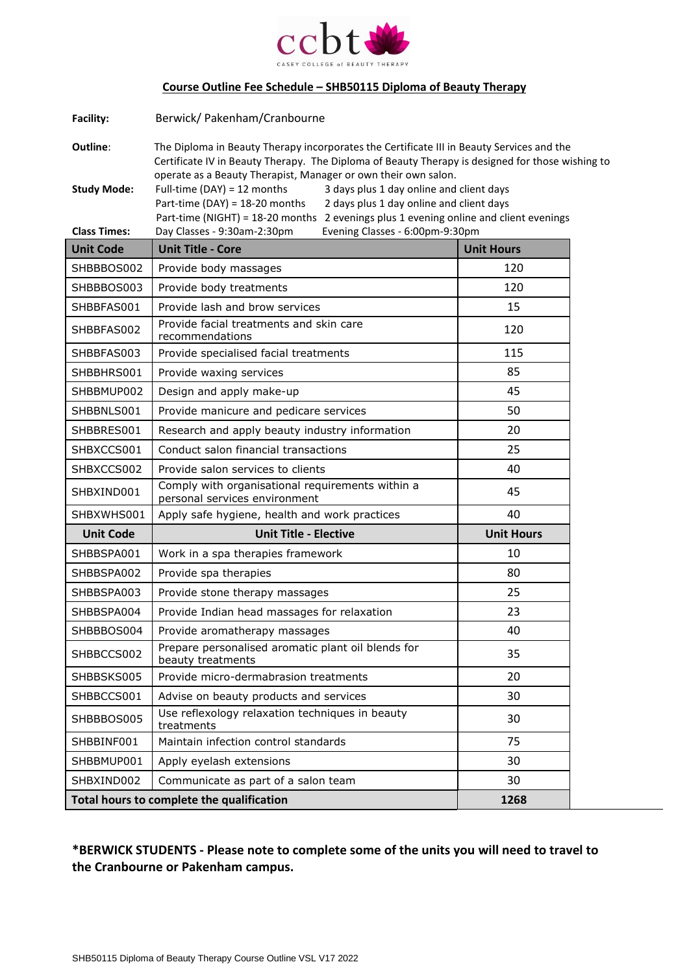

## **Course Outline Fee Schedule – SHB50115 Diploma of Beauty Therapy**

| Facility:                                 | Berwick/ Pakenham/Cranbourne                                                                                                                                                                                                                                    |                   |  |  |
|-------------------------------------------|-----------------------------------------------------------------------------------------------------------------------------------------------------------------------------------------------------------------------------------------------------------------|-------------------|--|--|
| Outline:                                  | The Diploma in Beauty Therapy incorporates the Certificate III in Beauty Services and the<br>Certificate IV in Beauty Therapy. The Diploma of Beauty Therapy is designed for those wishing to<br>operate as a Beauty Therapist, Manager or own their own salon. |                   |  |  |
| <b>Study Mode:</b>                        | Full-time (DAY) = 12 months<br>3 days plus 1 day online and client days<br>Part-time (DAY) = $18-20$ months<br>2 days plus 1 day online and client days<br>Part-time (NIGHT) = 18-20 months 2 evenings plus 1 evening online and client evenings                |                   |  |  |
| <b>Class Times:</b>                       | Day Classes - 9:30am-2:30pm<br>Evening Classes - 6:00pm-9:30pm                                                                                                                                                                                                  |                   |  |  |
| <b>Unit Code</b>                          | <b>Unit Title - Core</b>                                                                                                                                                                                                                                        | <b>Unit Hours</b> |  |  |
| SHBBBOS002                                | Provide body massages                                                                                                                                                                                                                                           | 120               |  |  |
| SHBBBOS003                                | Provide body treatments                                                                                                                                                                                                                                         | 120               |  |  |
| SHBBFAS001                                | Provide lash and brow services                                                                                                                                                                                                                                  | 15                |  |  |
| SHBBFAS002                                | Provide facial treatments and skin care<br>recommendations                                                                                                                                                                                                      | 120               |  |  |
| SHBBFAS003                                | Provide specialised facial treatments                                                                                                                                                                                                                           | 115               |  |  |
| SHBBHRS001                                | Provide waxing services                                                                                                                                                                                                                                         | 85                |  |  |
| SHBBMUP002                                | Design and apply make-up                                                                                                                                                                                                                                        | 45                |  |  |
| SHBBNLS001                                | Provide manicure and pedicare services                                                                                                                                                                                                                          | 50                |  |  |
| SHBBRES001                                | Research and apply beauty industry information                                                                                                                                                                                                                  | 20                |  |  |
| SHBXCCS001                                | Conduct salon financial transactions                                                                                                                                                                                                                            | 25                |  |  |
| SHBXCCS002                                | Provide salon services to clients                                                                                                                                                                                                                               | 40                |  |  |
| SHBXIND001                                | Comply with organisational requirements within a<br>personal services environment                                                                                                                                                                               | 45                |  |  |
| SHBXWHS001                                | Apply safe hygiene, health and work practices                                                                                                                                                                                                                   | 40                |  |  |
| <b>Unit Code</b>                          | <b>Unit Title - Elective</b>                                                                                                                                                                                                                                    | <b>Unit Hours</b> |  |  |
| SHBBSPA001                                | Work in a spa therapies framework                                                                                                                                                                                                                               | 10                |  |  |
| SHBBSPA002                                | Provide spa therapies                                                                                                                                                                                                                                           | 80                |  |  |
| SHBBSPA003                                | Provide stone therapy massages                                                                                                                                                                                                                                  | 25                |  |  |
| SHBBSPA004                                | Provide Indian head massages for relaxation                                                                                                                                                                                                                     | 23                |  |  |
| SHBBBOS004                                | Provide aromatherapy massages                                                                                                                                                                                                                                   | 40                |  |  |
| SHBBCCS002                                | Prepare personalised aromatic plant oil blends for<br>beauty treatments                                                                                                                                                                                         | 35                |  |  |
| SHBBSKS005                                | Provide micro-dermabrasion treatments                                                                                                                                                                                                                           | 20                |  |  |
| SHBBCCS001                                | Advise on beauty products and services                                                                                                                                                                                                                          | 30                |  |  |
| SHBBBOS005                                | Use reflexology relaxation techniques in beauty<br>treatments                                                                                                                                                                                                   | 30                |  |  |
| SHBBINF001                                | Maintain infection control standards                                                                                                                                                                                                                            | 75                |  |  |
| SHBBMUP001                                | Apply eyelash extensions                                                                                                                                                                                                                                        | 30                |  |  |
| SHBXIND002                                | Communicate as part of a salon team                                                                                                                                                                                                                             | 30                |  |  |
| Total hours to complete the qualification |                                                                                                                                                                                                                                                                 | 1268              |  |  |

# **\*BERWICK STUDENTS - Please note to complete some of the units you will need to travel to the Cranbourne or Pakenham campus.**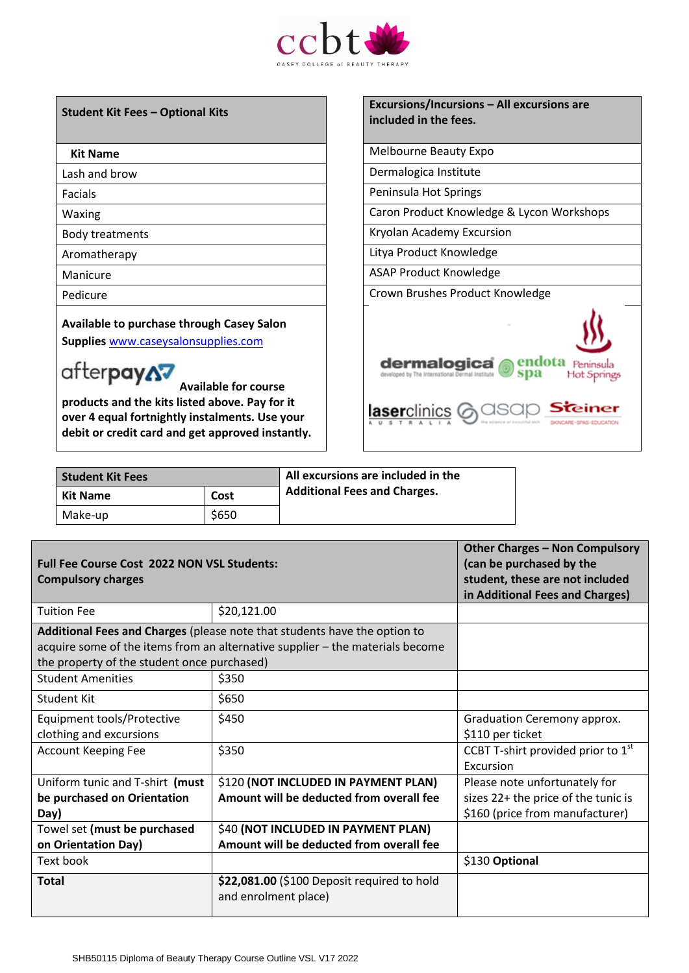

**Available to purchase through Casey Salon** 

**Supplies** [www.caseysalonsupplies.com](http://www.caseysalonsupplies.com/)

# afterpayA7

**Available for course products and the kits listed above. Pay for it over 4 equal fortnightly instalments. Use your debit or credit card and get approved instantly.**

#### **Student Kit Fees – Optional Kits Excursions/Incursions – All excursions are included in the fees.**

**Kit Name** Melbourne Beauty Expo

Lash and brow **Dermalogica** Institute

Facials **Peninsula Hot Springs** 

Waxing Waxing Caron Product Knowledge & Lycon Workshops

Body treatments Kryolan Academy Excursion

Aromatherapy **Aromatherapy Litya Product Knowledge** 

Manicure Manicure Association of the ASAP Product Knowledge

Pedicure **Calculate Crown Brushes Product Knowledge** 



| <b>Student Kit Fees</b> |       | All excursions are included in the  |
|-------------------------|-------|-------------------------------------|
| <b>Kit Name</b>         | Cost  | <b>Additional Fees and Charges.</b> |
| Make-up                 | \$650 |                                     |

| <b>Full Fee Course Cost 2022 NON VSL Students:</b><br><b>Compulsory charges</b>                                                                                                                           | <b>Other Charges - Non Compulsory</b><br>(can be purchased by the<br>student, these are not included<br>in Additional Fees and Charges) |                                                                                                         |
|-----------------------------------------------------------------------------------------------------------------------------------------------------------------------------------------------------------|-----------------------------------------------------------------------------------------------------------------------------------------|---------------------------------------------------------------------------------------------------------|
| <b>Tuition Fee</b>                                                                                                                                                                                        | \$20,121.00                                                                                                                             |                                                                                                         |
| Additional Fees and Charges (please note that students have the option to<br>acquire some of the items from an alternative supplier - the materials become<br>the property of the student once purchased) |                                                                                                                                         |                                                                                                         |
| <b>Student Amenities</b>                                                                                                                                                                                  | \$350                                                                                                                                   |                                                                                                         |
| <b>Student Kit</b>                                                                                                                                                                                        | \$650                                                                                                                                   |                                                                                                         |
| Equipment tools/Protective<br>clothing and excursions                                                                                                                                                     | \$450                                                                                                                                   | Graduation Ceremony approx.<br>\$110 per ticket                                                         |
| <b>Account Keeping Fee</b>                                                                                                                                                                                | \$350                                                                                                                                   | CCBT T-shirt provided prior to 1st<br>Excursion                                                         |
| Uniform tunic and T-shirt (must<br>be purchased on Orientation<br>Day)                                                                                                                                    | \$120 (NOT INCLUDED IN PAYMENT PLAN)<br>Amount will be deducted from overall fee                                                        | Please note unfortunately for<br>sizes 22+ the price of the tunic is<br>\$160 (price from manufacturer) |
| Towel set (must be purchased<br>on Orientation Day)                                                                                                                                                       | \$40 (NOT INCLUDED IN PAYMENT PLAN)<br>Amount will be deducted from overall fee                                                         |                                                                                                         |
| Text book                                                                                                                                                                                                 |                                                                                                                                         | \$130 Optional                                                                                          |
| <b>Total</b>                                                                                                                                                                                              | \$22,081.00 (\$100 Deposit required to hold<br>and enrolment place)                                                                     |                                                                                                         |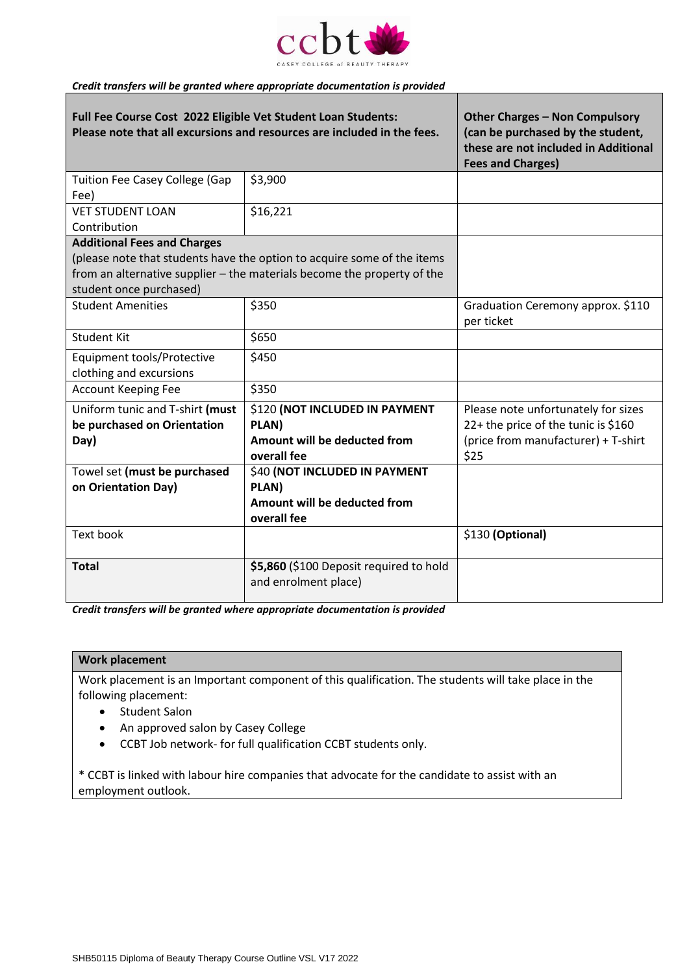

### *Credit transfers will be granted where appropriate documentation is provided*

| Full Fee Course Cost 2022 Eligible Vet Student Loan Students:<br>Please note that all excursions and resources are included in the fees.                                      | <b>Other Charges - Non Compulsory</b><br>(can be purchased by the student,<br>these are not included in Additional<br><b>Fees and Charges)</b> |                                                                                                                           |
|-------------------------------------------------------------------------------------------------------------------------------------------------------------------------------|------------------------------------------------------------------------------------------------------------------------------------------------|---------------------------------------------------------------------------------------------------------------------------|
| <b>Tuition Fee Casey College (Gap</b><br>Fee)                                                                                                                                 | \$3,900                                                                                                                                        |                                                                                                                           |
| <b>VET STUDENT LOAN</b><br>Contribution                                                                                                                                       | \$16,221                                                                                                                                       |                                                                                                                           |
| <b>Additional Fees and Charges</b>                                                                                                                                            |                                                                                                                                                |                                                                                                                           |
| (please note that students have the option to acquire some of the items<br>from an alternative supplier - the materials become the property of the<br>student once purchased) |                                                                                                                                                |                                                                                                                           |
| <b>Student Amenities</b>                                                                                                                                                      | \$350                                                                                                                                          | Graduation Ceremony approx. \$110<br>per ticket                                                                           |
| <b>Student Kit</b>                                                                                                                                                            | \$650                                                                                                                                          |                                                                                                                           |
| <b>Equipment tools/Protective</b><br>clothing and excursions                                                                                                                  | \$450                                                                                                                                          |                                                                                                                           |
| <b>Account Keeping Fee</b>                                                                                                                                                    | \$350                                                                                                                                          |                                                                                                                           |
| Uniform tunic and T-shirt (must<br>be purchased on Orientation<br>Day)                                                                                                        | \$120 (NOT INCLUDED IN PAYMENT<br>PLAN)<br>Amount will be deducted from<br>overall fee                                                         | Please note unfortunately for sizes<br>22+ the price of the tunic is \$160<br>(price from manufacturer) + T-shirt<br>\$25 |
| Towel set (must be purchased<br>on Orientation Day)                                                                                                                           | \$40 (NOT INCLUDED IN PAYMENT<br>PLAN)<br>Amount will be deducted from<br>overall fee                                                          |                                                                                                                           |
| <b>Text book</b>                                                                                                                                                              |                                                                                                                                                | \$130 (Optional)                                                                                                          |
| <b>Total</b>                                                                                                                                                                  | \$5,860 (\$100 Deposit required to hold<br>and enrolment place)                                                                                |                                                                                                                           |

*Credit transfers will be granted where appropriate documentation is provided*

#### **Work placement**

Work placement is an Important component of this qualification. The students will take place in the following placement:

- Student Salon
- An approved salon by Casey College
- CCBT Job network- for full qualification CCBT students only.

\* CCBT is linked with labour hire companies that advocate for the candidate to assist with an employment outlook.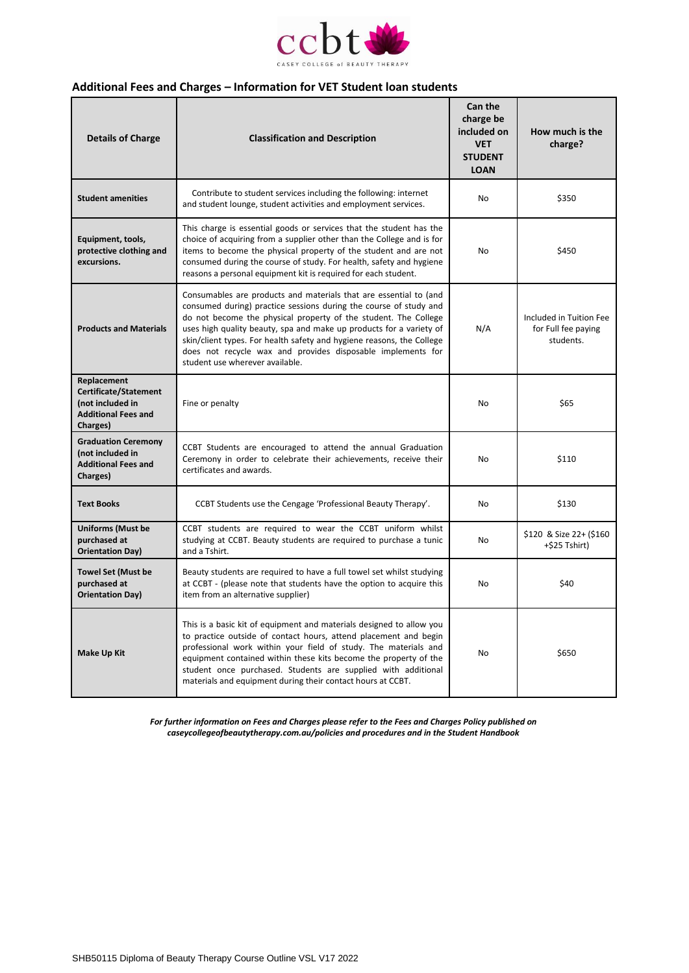

### **Additional Fees and Charges – Information for VET Student loan students**

| <b>Details of Charge</b>                                                                           | <b>Classification and Description</b>                                                                                                                                                                                                                                                                                                                                                                                                                       | Can the<br>charge be<br>included on<br><b>VET</b><br><b>STUDENT</b><br><b>LOAN</b> | How much is the<br>charge?                                  |
|----------------------------------------------------------------------------------------------------|-------------------------------------------------------------------------------------------------------------------------------------------------------------------------------------------------------------------------------------------------------------------------------------------------------------------------------------------------------------------------------------------------------------------------------------------------------------|------------------------------------------------------------------------------------|-------------------------------------------------------------|
| <b>Student amenities</b>                                                                           | Contribute to student services including the following: internet<br>and student lounge, student activities and employment services.                                                                                                                                                                                                                                                                                                                         | <b>No</b>                                                                          | \$350                                                       |
| Equipment, tools,<br>protective clothing and<br>excursions.                                        | This charge is essential goods or services that the student has the<br>choice of acquiring from a supplier other than the College and is for<br>items to become the physical property of the student and are not<br>consumed during the course of study. For health, safety and hygiene<br>reasons a personal equipment kit is required for each student.                                                                                                   | No                                                                                 | \$450                                                       |
| <b>Products and Materials</b>                                                                      | Consumables are products and materials that are essential to (and<br>consumed during) practice sessions during the course of study and<br>do not become the physical property of the student. The College<br>uses high quality beauty, spa and make up products for a variety of<br>skin/client types. For health safety and hygiene reasons, the College<br>does not recycle wax and provides disposable implements for<br>student use wherever available. | N/A                                                                                | Included in Tuition Fee<br>for Full fee paying<br>students. |
| Replacement<br>Certificate/Statement<br>(not included in<br><b>Additional Fees and</b><br>Charges) | Fine or penalty                                                                                                                                                                                                                                                                                                                                                                                                                                             | <b>No</b>                                                                          | \$65                                                        |
| <b>Graduation Ceremony</b><br>(not included in<br><b>Additional Fees and</b><br>Charges)           | CCBT Students are encouraged to attend the annual Graduation<br>Ceremony in order to celebrate their achievements, receive their<br>certificates and awards.                                                                                                                                                                                                                                                                                                | No                                                                                 | \$110                                                       |
| <b>Text Books</b>                                                                                  | CCBT Students use the Cengage 'Professional Beauty Therapy'.                                                                                                                                                                                                                                                                                                                                                                                                | <b>No</b>                                                                          | \$130                                                       |
| <b>Uniforms (Must be</b><br>purchased at<br><b>Orientation Day)</b>                                | CCBT students are required to wear the CCBT uniform whilst<br>studying at CCBT. Beauty students are required to purchase a tunic<br>and a Tshirt.                                                                                                                                                                                                                                                                                                           | <b>No</b>                                                                          | \$120 & Size 22+ (\$160<br>+\$25 Tshirt)                    |
| <b>Towel Set (Must be</b><br>purchased at<br><b>Orientation Day)</b>                               | Beauty students are required to have a full towel set whilst studying<br>at CCBT - (please note that students have the option to acquire this<br>item from an alternative supplier)                                                                                                                                                                                                                                                                         | <b>No</b>                                                                          | \$40                                                        |
| <b>Make Up Kit</b>                                                                                 | This is a basic kit of equipment and materials designed to allow you<br>to practice outside of contact hours, attend placement and begin<br>professional work within your field of study. The materials and<br>equipment contained within these kits become the property of the<br>student once purchased. Students are supplied with additional<br>materials and equipment during their contact hours at CCBT.                                             | <b>No</b>                                                                          | \$650                                                       |

*For further information on Fees and Charges please refer to the Fees and Charges Policy published on caseycollegeofbeautytherapy.com.au/policies and procedures and in the Student Handbook*